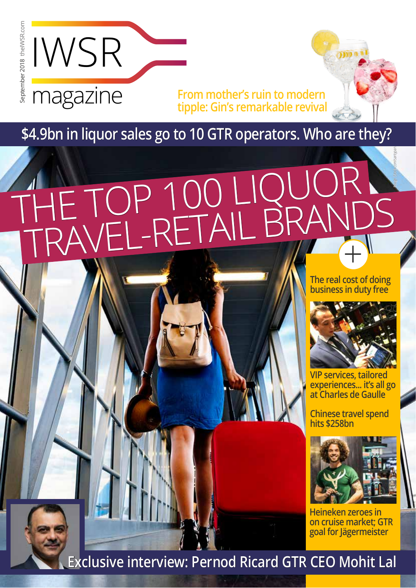

**The real cost of doing** 



**Chinese travel spend hits \$258bn**



**VIP services, tailored experiences... it's all go at Charles de Gaulle**

# THE TOP 100 LIQUOR TRAVEL-RETAIL BRANDS Image: iStock.com/santypan

**Heineken zeroes in on cruise market; GTR goal for Jägermeister**

#### **Exclusive interview: Pernod Ricard GTR CEO Mohit Lal**

#### **\$4.9bn in liquor sales go to 10 GTR operators. Who are they?**

**From mother's ruin to modern tipple: Gin's remarkable revival**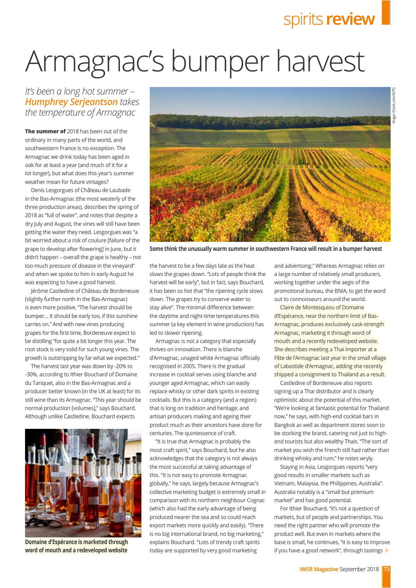### spirits **review**

the harvest to be a few days late as the heat slows the grapes down. "Lots of people think the harvest will be early", but in fact, says Bouchard, it has been so hot that "the ripening cycle slows down. The grapes try to conserve water to stay alive". The minimal difference between the daytime and night-time temperatures this summer (a key element in wine production) has led to slower ripening.

"It is true that Armagnac is probably the most craft spirit," says Bouchard, but he also acknowledges that the category is not always the most successful at taking advantage of this. "It is not easy to promote Armagnac globally," he says, largely because Armagnac's collective marketing budget is extremely small in comparison with its northern neighbour Cognac (which also had the early advantage of being produced nearer the sea and so could reach export markets more quickly and easily). "There is no big international brand, no big marketing," explains Bouchard. "Lots of trendy craft spirits today are supported by very good marketing **word of mouth and a redeveloped website** today are supported by very good marketing if you have a good network", through tastings

Armagnac is not a category that especially thrives on innovation. There is blanche d'Armagnac, unaged white Armagnac officially recognised in 2005. There is the gradual increase in cocktail serves using blanche and younger aged Armagnac, which can easily replace whisky or other dark spirits in existing cocktails. But this is a category (and a region) that is long on tradition and heritage, and artisan producers making and ageing their product much as their ancestors have done for centuries. The quintessence of craft.

and advertising." Whereas Armagnac relies on a large number of relatively small producers, working together under the aegis of the promotional bureau, the BNIA, to get the word out to connoisseurs around the world.

Denis Lesgorgues of Château de Laubade in the Bas-Armagnac (the most westerly of the three production areas), describes the spring of 2018 as "full of water", and notes that despite a dry July and August, the vines will still have been getting the water they need. Lesgorgues was "a bit worried about a risk of coulure [failure of the grape to develop after flowering] in June, but it didn't happen – overall the grape is healthy – not too much pressure of disease in the vineyard" and when we spoke to him in early August he was expecting to have a good harvest.

> Claire de Montesquiou of Domaine d'Espérance, near the northern limit of Bas-Armagnac, produces exclusively cask-strength Armagnac, marketing it through word of mouth and a recently redeveloped website. She describes meeting a Thai importer at a Fête de l'Armagnac last year in the small village of Labastide d'Armagnac, adding she recently shipped a consignment to Thailand as a result.

Jérôme Castledine of Château de Bordeneuve (slightly further north in the Bas-Armagnac) is even more positive. "The harvest should be bumper… It should be early too, if this sunshine carries on." And with new vines producing grapes for the first time, Bordeneuve expect to be distilling "for quite a bit longer this year. The root stock is very solid for such young vines. The growth is outstripping by far what we expected."

*It's been a long hot summer-Humphrey Serjeantson takes the temperature of Armagnac*

> Castledine of Bordeneuve also reports signing up a Thai distributor and is clearly optimistic about the potential of this market. "We're looking at fantastic potential for Thailand now," he says, with high-end cocktail bars in Bangkok as well as department stores soon to be stocking the brand, catering not just to highend tourists but also wealthy Thais. "The sort of market you wish the French still had rather than drinking whisky and rum," he notes wryly. Staying in Asia, Lesgorgues reports "very good results in smaller markets such as Vietnam, Malaysia, the Philippines, Australia". Australia notably is a "small but premium market" and has good potential. For Ithier Bouchard, "it's not a question of markets, but of people and partnerships. You need the right partner who will promote the product well. But even in markets where the base is small, he continues, "it is easy to improve

**The summer of** 2018 has been out of the ordinary in many parts of the world, and southwestern France is no exception. The Armagnac we drink today has been aged in oak for at least a year (and much of it for a lot longer), but what does this year's summer weather mean for future vintages?

The harvest last year was down by -20% to -30%, according to Ithier Bouchard of Domaine du Tariquet, also in the Bas-Armagnac and a producer better known (in the UK at least) for its still wine than its Armagnac. "This year should be normal production [volumes]," says Bouchard. Although unlike Castledine, Bouchard expects



## Armagnac's bumper harvest



**Some think the unusually warm summer in southwestern France will result in a bumper harvest** 

**Domaine d'Espérance is marketed through**